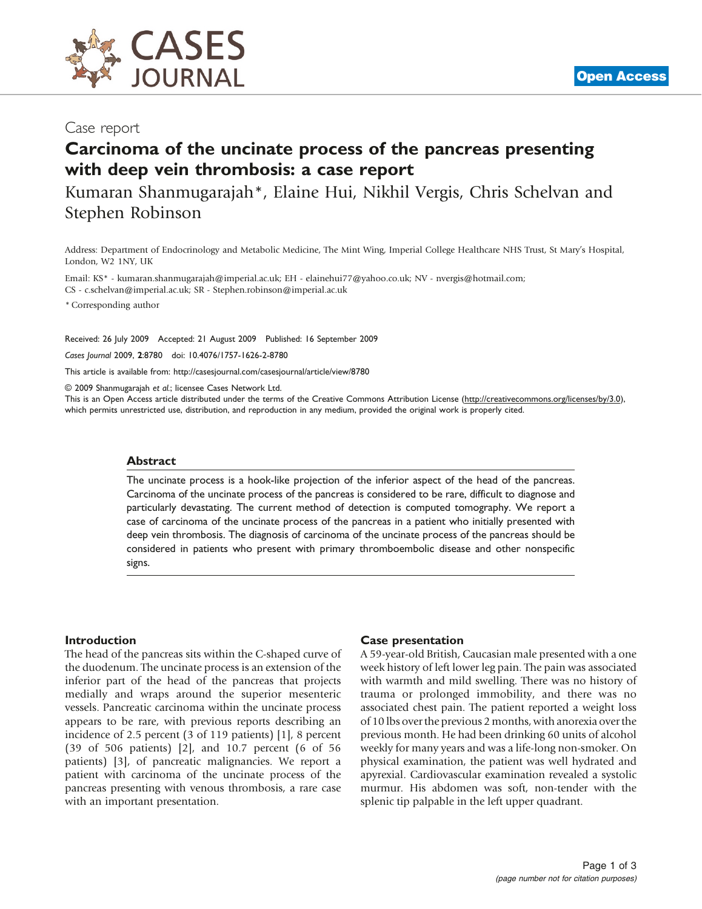

## Case report

# Carcinoma of the uncinate process of the pancreas presenting with deep vein thrombosis: a case report

Kumaran Shanmugarajah\*, Elaine Hui, Nikhil Vergis, Chris Schelvan and Stephen Robinson

Address: Department of Endocrinology and Metabolic Medicine, The Mint Wing, Imperial College Healthcare NHS Trust, St Mary's Hospital, London, W2 1NY, UK

Email: KS\* - [kumaran.shanmugarajah@imperial.ac.uk;](mailto:kumaran.shanmugarajah@imperial.ac.uk) EH - [elainehui77@yahoo.co.uk](mailto:elainehui77@yahoo.co.uk); NV - [nvergis@hotmail.com;](mailto:nvergis@hotmail.com) CS - [c.schelvan@imperial.ac.uk;](mailto:c.schelvan@imperial.ac.uk) SR - [Stephen.robinson@imperial.ac.uk](mailto:Stephen.robinson@imperial.ac.uk)

\* Corresponding author

Received: 26 July 2009 Accepted: 21 August 2009 Published: 16 September 2009

Cases Journal 2009, 2:8780 doi: 10.4076/1757-1626-2-8780

This article is available from:<http://casesjournal.com/casesjournal/article/view/8780>

© 2009 Shanmugarajah et al.; licensee Cases Network Ltd.

This is an Open Access article distributed under the terms of the Creative Commons Attribution License [\(http://creativecommons.org/licenses/by/3.0\)](http://creativecommons.org/licenses/by/3.0), which permits unrestricted use, distribution, and reproduction in any medium, provided the original work is properly cited.

#### Abstract

The uncinate process is a hook-like projection of the inferior aspect of the head of the pancreas. Carcinoma of the uncinate process of the pancreas is considered to be rare, difficult to diagnose and particularly devastating. The current method of detection is computed tomography. We report a case of carcinoma of the uncinate process of the pancreas in a patient who initially presented with deep vein thrombosis. The diagnosis of carcinoma of the uncinate process of the pancreas should be considered in patients who present with primary thromboembolic disease and other nonspecific signs.

#### Introduction

The head of the pancreas sits within the C-shaped curve of the duodenum. The uncinate process is an extension of the inferior part of the head of the pancreas that projects medially and wraps around the superior mesenteric vessels. Pancreatic carcinoma within the uncinate process appears to be rare, with previous reports describing an incidence of 2.5 percent (3 of 119 patients) [\[1](#page-2-0)], 8 percent (39 of 506 patients) [[2](#page-2-0)], and 10.7 percent (6 of 56 patients) [\[3\]](#page-2-0), of pancreatic malignancies. We report a patient with carcinoma of the uncinate process of the pancreas presenting with venous thrombosis, a rare case with an important presentation.

#### Case presentation

A 59-year-old British, Caucasian male presented with a one week history of left lower leg pain. The pain was associated with warmth and mild swelling. There was no history of trauma or prolonged immobility, and there was no associated chest pain. The patient reported a weight loss of 10 lbs over the previous 2 months, with anorexia over the previous month. He had been drinking 60 units of alcohol weekly for many years and was a life-long non-smoker. On physical examination, the patient was well hydrated and apyrexial. Cardiovascular examination revealed a systolic murmur. His abdomen was soft, non-tender with the splenic tip palpable in the left upper quadrant.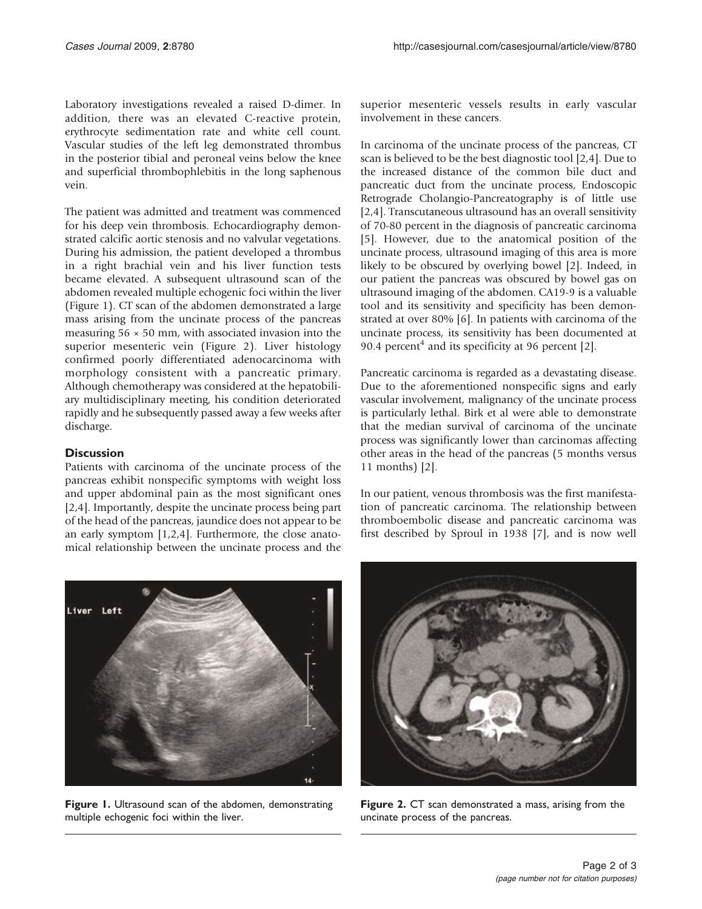Laboratory investigations revealed a raised D-dimer. In addition, there was an elevated C-reactive protein, erythrocyte sedimentation rate and white cell count. Vascular studies of the left leg demonstrated thrombus in the posterior tibial and peroneal veins below the knee and superficial thrombophlebitis in the long saphenous vein.

The patient was admitted and treatment was commenced for his deep vein thrombosis. Echocardiography demonstrated calcific aortic stenosis and no valvular vegetations. During his admission, the patient developed a thrombus in a right brachial vein and his liver function tests became elevated. A subsequent ultrasound scan of the abdomen revealed multiple echogenic foci within the liver (Figure 1). CT scan of the abdomen demonstrated a large mass arising from the uncinate process of the pancreas measuring  $56 \times 50$  mm, with associated invasion into the superior mesenteric vein (Figure 2). Liver histology confirmed poorly differentiated adenocarcinoma with morphology consistent with a pancreatic primary. Although chemotherapy was considered at the hepatobiliary multidisciplinary meeting, his condition deteriorated rapidly and he subsequently passed away a few weeks after discharge.

#### **Discussion**

Patients with carcinoma of the uncinate process of the pancreas exhibit nonspecific symptoms with weight loss and upper abdominal pain as the most significant ones [\[2](#page-2-0),[4](#page-2-0)]. Importantly, despite the uncinate process being part of the head of the pancreas, jaundice does not appear to be an early symptom [\[1](#page-2-0),[2](#page-2-0),[4](#page-2-0)]. Furthermore, the close anatomical relationship between the uncinate process and the superior mesenteric vessels results in early vascular involvement in these cancers.

In carcinoma of the uncinate process of the pancreas, CT scan is believed to be the best diagnostic tool [\[2](#page-2-0),[4](#page-2-0)]. Due to the increased distance of the common bile duct and pancreatic duct from the uncinate process, Endoscopic Retrograde Cholangio-Pancreatography is of little use [[2](#page-2-0),[4](#page-2-0)]. Transcutaneous ultrasound has an overall sensitivity of 70-80 percent in the diagnosis of pancreatic carcinoma [[5](#page-2-0)]. However, due to the anatomical position of the uncinate process, ultrasound imaging of this area is more likely to be obscured by overlying bowel [\[2\]](#page-2-0). Indeed, in our patient the pancreas was obscured by bowel gas on ultrasound imaging of the abdomen. CA19-9 is a valuable tool and its sensitivity and specificity has been demonstrated at over 80% [[6](#page-2-0)]. In patients with carcinoma of the uncinate process, its sensitivity has been documented at 90.4 percent<sup>4</sup> and its specificity at 96 percent [[2](#page-2-0)].

Pancreatic carcinoma is regarded as a devastating disease. Due to the aforementioned nonspecific signs and early vascular involvement, malignancy of the uncinate process is particularly lethal. Birk et al were able to demonstrate that the median survival of carcinoma of the uncinate process was significantly lower than carcinomas affecting other areas in the head of the pancreas (5 months versus 11 months) [[2](#page-2-0)].

In our patient, venous thrombosis was the first manifestation of pancreatic carcinoma. The relationship between thromboembolic disease and pancreatic carcinoma was first described by Sproul in 1938 [\[7\]](#page-2-0), and is now well



Figure 1. Ultrasound scan of the abdomen, demonstrating multiple echogenic foci within the liver.



Figure 2. CT scan demonstrated a mass, arising from the uncinate process of the pancreas.